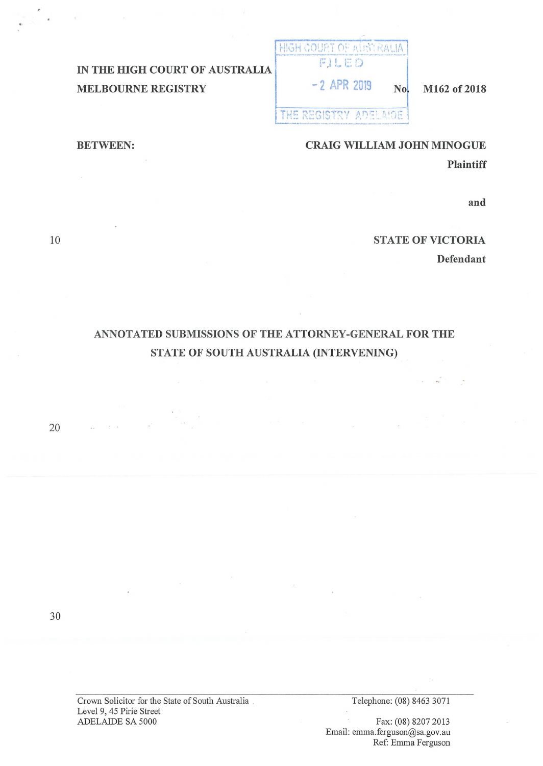# **IN THE HIGH COURT OF AUSTRALIA MELBOURNE REGISTRY**

HIGH COURT OF ALISTRALIA r: J ! . r: ,.,

## $-2$  APR 2019 **No. M162 of 2018**

**THE REGISTRY ADELAIDE** 

### **CRAIG WILLIAM JOHN MINOGUE**

**Plaintiff** 

**and** 

## **STATE OF VICTORIA**

**Defendant** 

# **ANNOTATED SUBMISSIONS OF THE ATTORNEY-GENERAL FOR THE STATE OF SOUTH AUSTRALIA (INTERVENING)**

20

30

Crown Solicitor for the State of South Australia . Level 9, 45 Pirie Street ADELAIDE SA 5000

Telephone: (08) 8463 3071

Fax: (08) 8207 2013 Email: emma.ferguson@sa.gov.au Ref: Emma Ferguson

10

**BETWEEN:**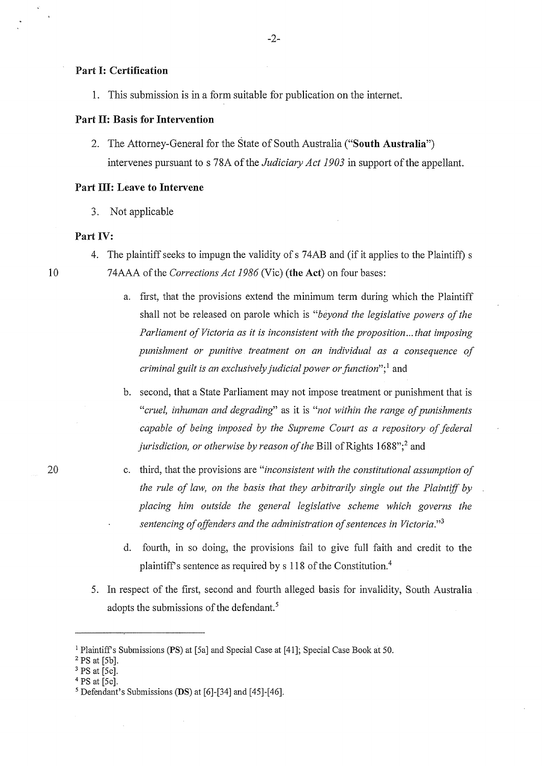#### **Part** I: **Certification**

1. This submission is in a form suitable for publication on the internet.

## **Part II: Basis for Intervention**

2. The Attorney-General for the State of South Australia **("South Australia")**  intervenes pursuant to s 78A of the *Judiciary Act 1903* in support of the appellant.

#### **Part** III: **Leave to Intervene**

3. Not applicable

#### **Part** IV:

- 4. The plaintiff seeks to impugn the validity of s 74AB and (if it applies to the Plaintiff) s
- 74AAA of the *Corrections Act 1986* (Vic) **(the Act)** on four bases:
	- a. first, that the provisions extend the minimum term during which the Plaintiff shall not be released on parole which is *"beyond the legislative powers of the Parliament of Victoria as it is inconsistent with the proposition ... that imposing punishment or punitive treatment on an individual as a consequence of criminal guilt is an exclusively judicial power or function*";<sup>1</sup> and

b. second, that a State Parliament may not impose treatment or punishment that is *"cruel, inhuman and degrading'* as it is *"not within the range of punishments capable of being imposed by the Supreme Court as a repository of federal jurisdiction, or otherwise by reason of the Bill of Rights 1688";<sup>2</sup> and* 

- c. third, that the provisions are *"inconsistent with the constitutional assumption of the rule of law, on the basis that they arbitrarily single out the Plaintiff by placing him outside the general legislative scheme which governs the sentencing of offenders and the administration of sentences in Victoria." <sup>3</sup>*
	- d. fourth, in so doing, the provisions fail to give full faith and credit to the plaintiff's sentence as required by s 118 of the Constitution.<sup>4</sup>
- 5. In respect of the first, second and fourth alleged basis for invalidity, South Australia adopts the submissions of the defendant.<sup>5</sup>

<sup>1</sup> Plaintiffs Submissions **(PS)** at [5a] and Special Case at [41]; Special Case Book at 50.

 $2$  PS at [5b].

 $3$  PS at [5c].

 $4$  PS at [5c].

<sup>5</sup> Defendant's Submissions **(DS)** at [6]-[34] and [45]-[46].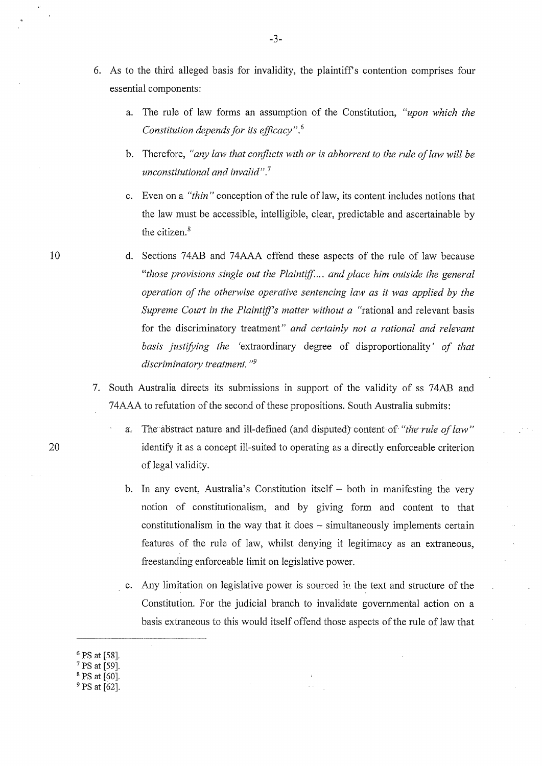- 6. As to the third alleged basis for invalidity, the plaintiff's contention comprises four essential components:
	- a. The rule of law forms an assumption of the Constitution, *"upon which the Constitution depends for its efficacy".* <sup>6</sup>
	- b. Therefore, *"any law that conflicts with or is abhorrent to the rule of law will be unconstitutional and invalid".*<sup>7</sup>
	- c. Even on a "*thin*" conception of the rule of law, its content includes notions that the law must be accessible, intelligible, clear, predictable and ascertainable by the citizen. 8
	- d. Sections 74AB and 74AAA offend these aspects of the rule of law because *"those provisions single out the Plaintiff ... and place him outside the general operation of the otherwise operative sentencing law as it was applied by the Supreme Court in the Plaintiff's matter without a* "rational and relevant basis for the discriminatory treatment" *and certainly not a rational and relevant basis justifying the* 'extraordinary degree of disproportionality' *of that discriminatory treatment. "9*
- 7. South Australia directs its submissions in support of the validity of ss 74AB and 74AAA to refutation of the second of these propositions. South Australia submits:
	- The abstract nature and ill-defined (and disputed) content of *"the rule of law"* identify it as a concept ill-suited to operating as a directly enforceable criterion of legal validity.
	- b. In any event, Australia's Constitution itself  $-$  both in manifesting the very notion of constitutionalism, and by giving form and content to that constitutionalism in the way that it does  $-$  simultaneously implements certain features of the rule of law, whilst denying it legitimacy as an extraneous, freestanding enforceable limit on legislative power.
	- c. Any limitation on legislative power is sourced in the text and structure of the Constitution. For the judicial branch to invalidate governmental action on a basis extraneous to this would itself offend those aspects of the rule of law that

<sup>9</sup> PS at [62].

-3-

20

<sup>6</sup>**PS** at **[58].** 

<sup>7</sup>PS at [59].

 $8$  PS at [60].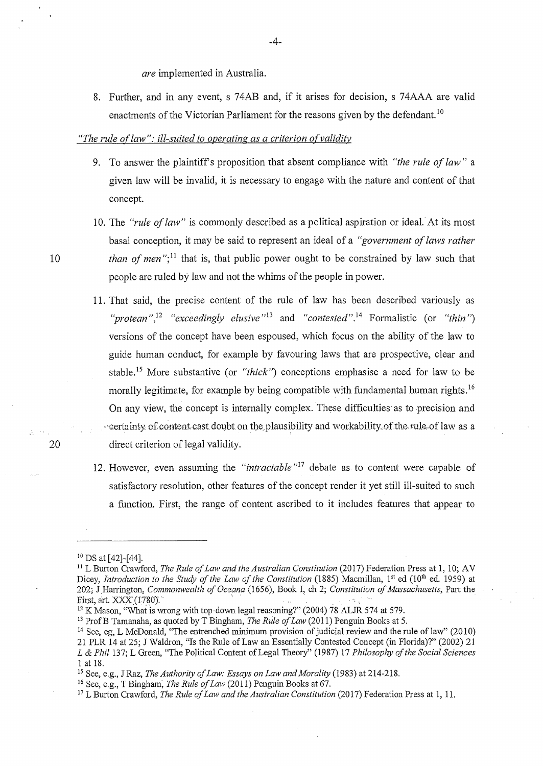*are* implemented in Australia.

8. Further, and in any event, s 74AB and, if it arises for decision, s 74AAA are valid enactments of the Victorian Parliament for the reasons given by the defendant.<sup>10</sup>

#### *"The rule oflaw": ill-suited to operating as a criterion of validity*

- 9. To answer the plaintiffs proposition that absent compliance with *"the rule of law"* a given law will be invalid, it is necessary to engage with the nature and content of that concept.
- 10. The *"rule of law"* is commonly described as a political aspiration or ideal. At its most basal conception, it may be said to represent an ideal of a *"government of laws rather than of men*";<sup>11</sup> that is, that public power ought to be constrained by law such that people are ruled by law and not the whims of the people in power.
- 11. That said, the precise content of the rule of law has been described variously as "*protean*",<sup>12</sup> "exceedingly elusive"<sup>13</sup> and "contested".<sup>14</sup> Formalistic (or "thin") versions of the concept have been espoused, which focus on the ability of the law to guide human conduct, for example by favouring laws that are prospective, clear and stable.<sup>15</sup> More substantive (or *"thick"*) conceptions emphasise a need for law to be morally legitimate, for example by being compatible with fundamental human rights.<sup>16</sup> On any view, the concept is internally complex. These difficulties· as to precision and  $\cdot$  sertainty of content cast doubt on the plausibility and workability of the rule of law as a direct criterion of legal validity.
- 12. However, even assuming the *"intractable* "17 debate as to content were capable of satisfactory resolution, other features of the concept render it yet still ill-suited to such a function. First, the range of content ascribed to it includes features that appear to

20

<sup>10</sup> DS at [42]-[44].

<sup>&</sup>lt;sup>11</sup> L Burton Crawford, *The Rule of Law and the Australian Constitution* (2017) Federation Press at 1, 10; AV Dicey, *Introduction to the Study of the Law of the Constitution* (1885) Macmillan, 1<sup>st</sup> ed (10<sup>th</sup> ed. 1959) at 202; J Harrington, *Commonwealth of Oceana* (1656), Book I, ch 2; *Constitution of Massachusetts*, Part the First, art.  $XXX$  (1780).<br><sup>12</sup> K Mason, "What is wrong with top-down legal reasoning?" (2004) 78 ALJR 574 at 579.

<sup>&</sup>lt;sup>13</sup> Prof B Tamanaha, as quoted by T Bingham, *The Rule of Law* (2011) Penguin Books at 5.

<sup>14</sup> See, eg, L McDonald, "The entrenched minimum provision of judicial review and the rule of law" (2010) 21 PLR 14 at 25; J Waldron, "Is the Rule of Law an Essentially Contested Concept (in Florida)?" (2002) 21 *L & Phil* 137; L Green, "The Political Content of Legal Theory" (1987) 17 *Philosophy of the Social Sciences*  1 at 18. 15 See, e.g., JRaz, *The Authority of Law: Essays on Law and Morality* (1983) at 214-218.

<sup>16</sup> See, e.g., T Bingham; *The Rule of Law* (2011) Penguin Books at 67.

<sup>&</sup>lt;sup>17</sup> L Burton Crawford, *The Rule of Law and the Australian Constitution* (2017) Federation Press at 1, 11.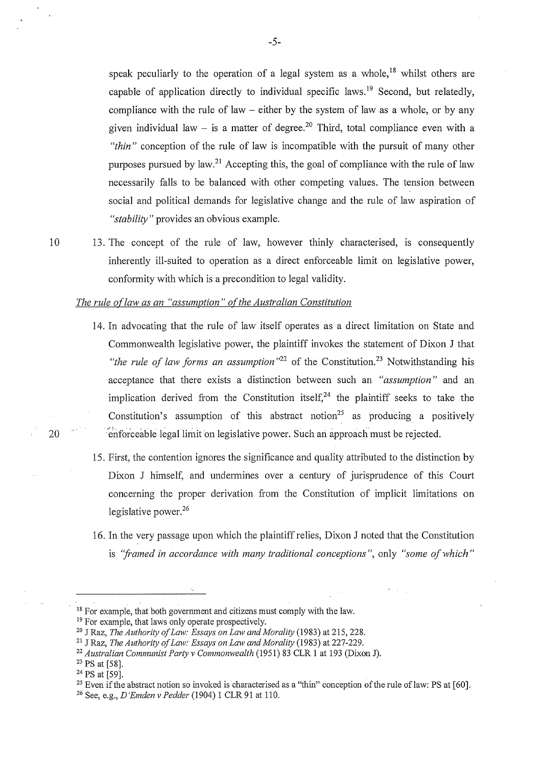speak peculiarly to the operation of a legal system as a whole,<sup>18</sup> whilst others are capable of application directly to individual specific laws.<sup>19</sup> Second, but relatedly, compliance with the rule of law  $-$  either by the system of law as a whole, or by any given individual law – is a matter of degree.<sup>20</sup> Third, total compliance even with a *"thin"* conception of the rule of law is incompatible with the pursuit of many other purposes pursued by law.<sup>21</sup> Accepting this, the goal of compliance with the rule of law necessarily falls to be balanced with other competing values. The tension between social and political demands for legislative change and the rule of law aspiration of *"stability"* provides an obvious example.

10 13. The concept of the rule of law, however thinly characterised, is consequently inherently ill-suited to operation as a direct enforceable limit on legislative power, conformity with which is a precondition to legal validity.

#### *The rule oflaw as an "assumption" ofthe Australian Constitution*

- 14. In advocating that the rule of law itself operates as a direct liniitation on State and Commonwealth legislative power, the plaintiff invokes the statement of Dixon J that "*the rule of law forms an assumption*"<sup>22</sup> of the Constitution.<sup>23</sup> Notwithstanding his acceptance that there exists a distinction between such an *"assumption"* and an implication derived from the Constitution itself,  $24$  the plaintiff seeks to take the Constitution's assumption of this abstract notion<sup>25</sup> as producing a positively 20 <sup>enforceable legal limit on legislative power. Such an approach must be rejected.</sup>
	- 15. First, the contention ignores the significance and quality attributed to the distinction by Dixon J himself, and undermines over a century of jurisprudence of this Court concerning the proper derivation from the Constitution of implicit limitations on legislative power.<sup>26</sup>
	- 16. In the very passage upon which the plaintiff relies, Dixon J noted that the Constitution is *"framed in accordance with many traditional conceptions",* only *"some of which"*

<sup>&</sup>lt;sup>18</sup> For example, that both government and citizens must comply with the law.<br><sup>19</sup> For example, that laws only operate prospectively.<br><sup>20</sup> J Raz, *The Authority of Law: Essays on Law and Morality* (1983) at 215, 228.<br><sup>21</sup>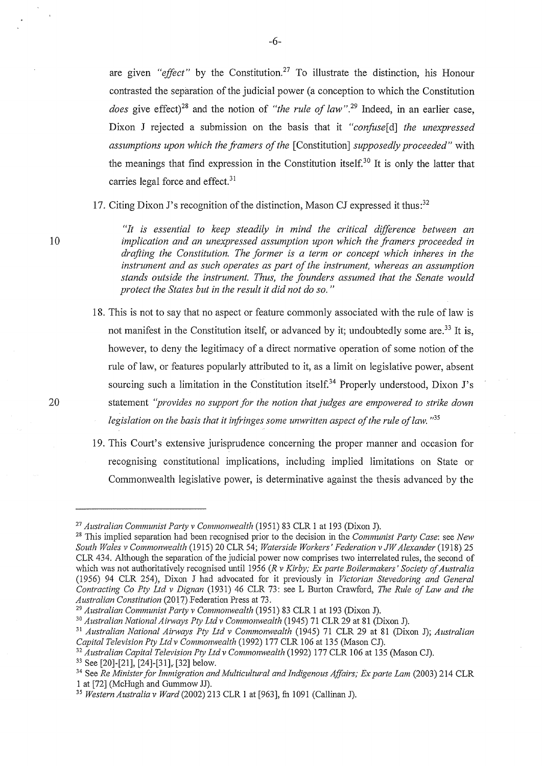are given *"effect"* by the Constitution.27 To illustrate the distinction, his Honour contrasted the separation of the judicial power (a conception to which the Constitution *does* give effect)<sup>28</sup> and the notion of *"the rule of law"*.<sup>29</sup> Indeed, in an earlier case, Dixon J rejected a submission on the basis that it *"confuse[d] the unexpressed assumptions upon which the framers of the* [Constitution] *supposedly proceeded"* with the meanings that find expression in the Constitution itself.<sup>30</sup> It is only the latter that carries legal force and effect.<sup>31</sup>

17. Citing Dixon J's recognition of the distinction, Mason CJ expressed it thus:<sup>32</sup>

*"It is essential to keep steadily in mind the critical difference between an implication and an unexpressed assumption upon which the framers proceeded in drafting the Constitution. The former is a term or concept which inheres in the instrument and as such operates as part of the instrument, whereas an assumption stands outside the instrument. Thus, the founders assumed that the Senate would protect the States but in the result it did not do so.* "

- 18. This is not to say that no aspect or feature commonly associated with the rule of law is not manifest in the Constitution itself, or advanced by it; undoubtedly some are.<sup>33</sup> It is, however, to deny the legitimacy of a direct normative operation of some notion of the rule of law, or features popularly attributed to it, as a limit on legislative power, absent sourcing such a limitation in the Constitution itself.<sup>34</sup> Properly understood, Dixon J's statement *"provides no support for the notion that judges are empowered to strike down legislation on the basis that it infringes some unwritten aspect of the rule of law.* "35
- 19. This Court's extensive jurisprudence concerning the proper manner and occasion for recognising constitutional implications, including implied limitations on State or Commonwealth legislative power, is determinative against the thesis advanced by the

10

<sup>27</sup>*Australian Communist Party v Commonwealth* (1951) 83 CLR 1 at 193 (Dixon J). 28 This implied separation had been recognised prior to the decision in the *Communist Party Case:* see *New South Wales v Commonwealth* (1915) 20 CLR 54; *Waterside Workers' Federation v JW Alexander* (1918) 25 CLR 434. Although the separation of the judicial power now comprises two inten-elated rules, the second of which was not authoritatively recognised until 1956 *(R v Kirby; Ex parte Boilermakers' Society of Australia*  (1956) 94 CLR 254), Dixon J had advocated for it previously in *Victorian Stevedoring and General Contracting Co Pty Ltd v Dignan* (1931) 46 CLR 73: see L Burton Crawford, *The Rule of Law and the* 

<sup>&</sup>lt;sup>29</sup> Australian Communist Party v Commonwealth (1951) 83 CLR 1 at 193 (Dixon J).<br><sup>30</sup> Australian National Airways Pty Ltd v Commonwealth (1945) 71 CLR 29 at 81 (Dixon J).

<sup>&</sup>lt;sup>31</sup> Australian National Airways Pty Ltd v Commonwealth (1945) 71 CLR 29 at 81 (Dixon J); *Australian Capital Television Pty Ltd v Commonwealth (1992) 177 CLR 106 at 135 (Mason CJ).* 

<sup>&</sup>lt;sup>32</sup> Australian Capital Television Pty Ltd v Commonwealth (1992) 177 CLR 106 at 135 (Mason CJ).<br><sup>33</sup> See [20]-[21], [24]-[31], [32] below.<br><sup>34</sup> See Re Minister for Immigration and Multicultural and Indigenous Affairs; Ex

<sup>&</sup>lt;sup>35</sup> Western Australia v Ward (2002) 213 CLR 1 at [963], fn 1091 (Callinan J).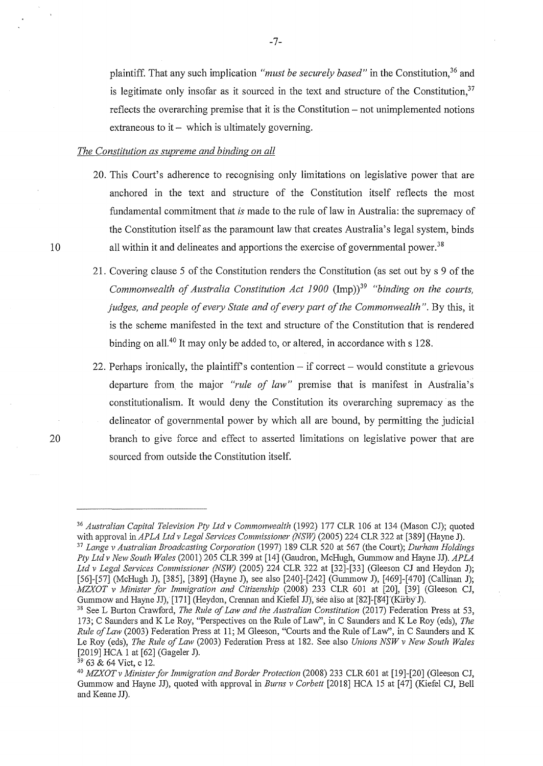plaintiff. That any such implication *"must be securely based"* in the Constitution,<sup>36</sup> and is legitimate only insofar as it sourced in the text and structure of the Constitution,  $37$ reflects the overarching premise that it is the Constitution – not unimplemented notions extraneous to  $it -$  which is ultimately governing.

#### *The Constitution as supreme and binding on all*

- 20. This Court's adherence to recognising only limitations on legislative power that are anchored in the text and structure of the Constitution itself reflects the most fundamental commitment that *is* made to the rule of law in Australia: the supremacy of the Constitution itself as the paramount law that creates Australia's legal system, binds all within it and delineates and apportions the exercise of governmental power.<sup>38</sup>
- 21. Covering clause 5 of the Constitution renders the Constitution (as set out bys 9 of the *Commonwealth of Australia Constitution Act 1900* (Imp))<sup>39</sup> "binding on the courts, *judges, and people of every State and of every part of the Commonwealth"*. By this, it is the scheme manifested in the text and structure of the Constitution that is rendered binding on all.<sup>40</sup> It may only be added to, or altered, in accordance with  $s$  128.
- 22. Perhaps ironically, the plaintiff's contention  $-$  if correct  $-$  would constitute a grievous departure from the major *"rule of law"* premise that is manifest in Australia's constitutionalism. It would deny the Constitution its overarching supremacy as the delineator of governmental power by which all are bound, by permitting the judicial branch to give force and effect to asserted limitations on legislative power that are sourced from outside the Constitution itself.

20

<sup>36</sup>*Australian Capital Television Pty Ltd v Commonwealth* (1992) 177 CLR 106 at 134 (Mason CJ); quoted with approval in *APLA Ltd v Legal Services Commissioner (NSW)* (2005) 224 CLR 322 at [389] (Hayne J). 37 *Lange v Australian Broadcasting Corporation* (1997) 189 CLR 520 at 567 (the Court); *Durham Holdings Pty Ltdv New South Wales* (2001) 205 CLR 399 at [14] (Gaudron, McHugh, Gummow and Hayne JJ). *APLA* 

Ltd v Legal Services Commissioner (NSW) (2005) 224 CLR 322 at [32]-[33] (Gleeson CJ and Heydon J); [56]-[57] (McHugh J), [385], [389] (Hayne J), see also [240]-[242] (Gummow J), [469]-[470] (Callinan J); *MZXOT v Minister for Immigration and Citizenship* (2008) 233 CLR 601 at [20], [39] (Gleeson CJ, Gummow and Hayne JJ), [171] (Heydon, Crennan and Kiefel JJ), see also at [82]<sup>[84]</sup> (Kirby J).

<sup>&</sup>lt;sup>38</sup> See L Burton Crawford, *The Rule of Law and the Australian Constitution (2017)* Federation Press at 53, 173; C Saunders and K Le Roy, "Perspectives on the Rule of Law", in C Saunders and K Le Roy (eds), *The Rule of Law* (2003) Federation Press at 11; M Gleeson, "Courts and the Rule of Law'', in C Saunders and K Le Roy (eds), *The Rule of Law* (2003) Federation Press at 182. See also *Unions NSW v New South Wales* 

<sup>[2019]</sup> HCA 1 at [62] (Gageler J). 39 63 & 64 Viet, c 12. 40 *MZXOTv Minister for Immigration and Border Protection* (2008) 233 CLR 601 at [19]-[20] (Gleeson CJ, Gummow and Hayne JJ), quoted with approval in *Burns v Corbett* [2018] HCA 15 at [47] (Kiefel CJ, Bell and Keane JJ).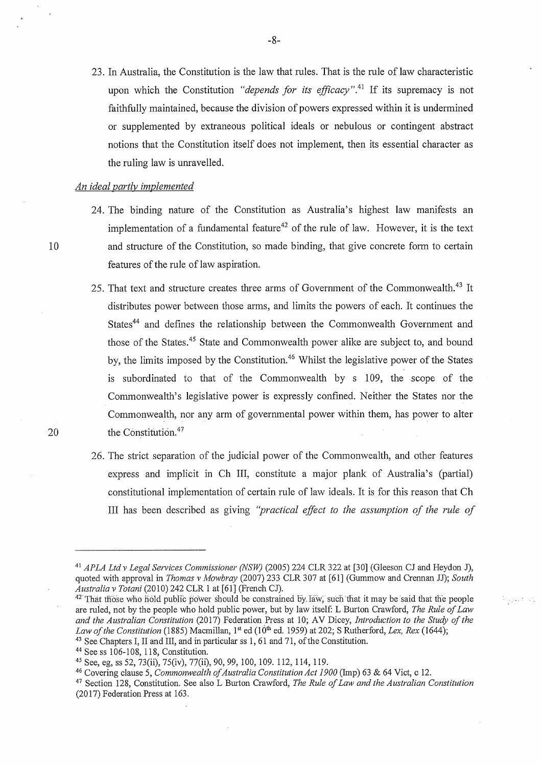23. In Australia, the Constitution is the law that rules. That is the rule of law characteristic upon which the Constitution *"depends for its efficacy"*.<sup>41</sup> If its supremacy is not faithfully maintained, because the division of powers expressed within it is undermined or supplemented by extraneous political ideals or nebulous or contingent abstract notions that the Constitution itself does not implement, then its essential character as the ruling law is unravelled.

#### *An ideal partly implemented*

- 24. The binding nature of the Constitution as Australia's highest law manifests an implementation of a fundamental feature<sup>42</sup> of the rule of law. However, it is the text and structure of the Constitution, so made binding, that give concrete form to certain features of the rule of law aspiration.
- 25. That text and structure creates three arms of Government of the Commonwealth.<sup>43</sup> It distributes power between those arms, and limits the powers of each. It continues the States<sup>44</sup> and defines the relationship between the Commonwealth Government and those of the States.<sup>45</sup> State and Commonwealth power alike are subject to, and bound by, the limits imposed by the Constitution.<sup>46</sup> Whilst the legislative power of the States is subordinated to that of the Commonwealth by s 109, the scope of the Commonwealth's legislative power is expressly confined. Neither the States nor the Commonwealth, nor any arm of govermnental power within them, has power to alter the Constitution.<sup>47</sup>
- 26. The strict separation of the judicial power of the Commonwealth, and other features express and implicit in Ch III, constitute a major plank of Australia's (partial) constitutional implementation of certain rule of law ideals. It is for this reason that Ch III has been described as giving *''practical effect to the assumption of the rule of*

20

10

Pagasti Vi

<sup>41</sup>*APLA Ltdv Legal Services Commissioner (NSW)* (2005) 224 CLR 322 at [30] (Gleeson CJ and Reydon J), quoted with approval in *Thomas v Mowbray* (2007) 233 CLR 307 at [61] (Gummow and Crennan JJ); *South* 

<sup>&</sup>lt;sup>42</sup> That those who hold public power should be constrained by law; such that it may be said that the people are ruled, not by the people who hold public power, but by law itself: L Burton Crawford, *The Rule of Law and the Australian Constitution* (2017) Federation Press at 10; AV Dicey, *Introduction to the Study of the Law of the Constitution* (1885) Macmillan, 1<sup>st</sup> ed (10<sup>th</sup> ed. 1959) at 202; S Rutherford, *Lex, Rex* (1644); <sup>43</sup> See Chapters I, II and III, and in particular ss 1, 61 and 71, of the Constitution.<br><sup>44</sup> See ss 106-108,

<sup>45</sup> See, eg, ss 52, 73(ii), 75(iv), 77(ii), 90, 99, 100, 109. 112, 114, 119.<br><sup>46</sup> Covering clause 5, *Commonwealth of Australia Constitution Act 1900* (Imp) 63 & 64 Vict, c 12.

<sup>47</sup>Section 128, Constitution. See also L Burton Crawford, *The Rule of Law and the Australian Constitution*  (2017) Federation Press at 163.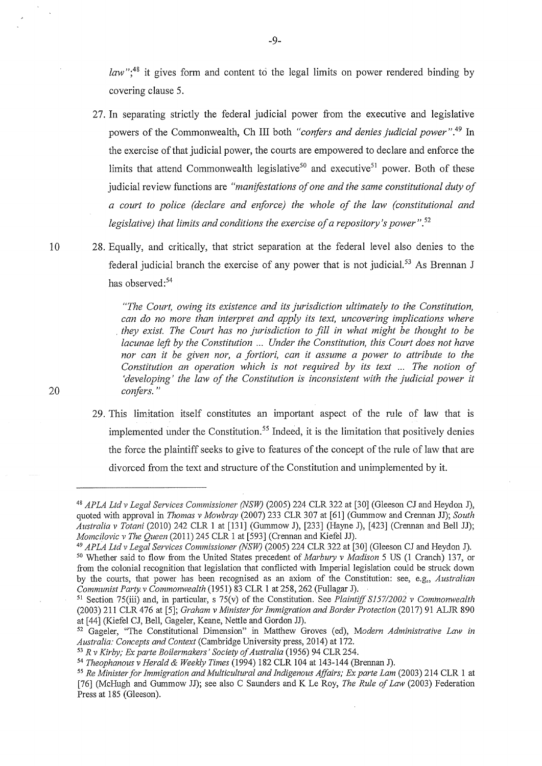*law*";<sup>48</sup> it gives form and content to the legal limits on power rendered binding by covering clause 5.

27. In separating strictly the federal judicial power from the executive and legislative powers of the Commonwealth, Ch III both *"confers and denies judicial power".<sup>49</sup>*In the exercise of that judicial power, the courts are empowered to declare and enforce the limits that attend Commonwealth legislative<sup>50</sup> and executive<sup>51</sup> power. Both of these judicial review functions are *"manifestations of one and the same constitutional duty of a court to police (declare and enforce) the whole of the law (constitutional and legislative) that limits and conditions the exercise of a repository's power". <sup>52</sup>*

10 28. Equally, and critically, that strict separation at the federal level also denies to the federal judicial branch the exercise of any power that is not judicial.<sup>53</sup> As Brennan J has observed:<sup>54</sup>

> *"The Court, owing its existence and its jurisdiction ultimately to the Constitution, can do no more than interpret and apply its text, uncovering implications where*  . *they exist. The Court has no jurisdiction to fill in what might be thought to be lacunae left by the Constitution ... Under the Constitution, this Court does not have nor can it be given nor, a fortiori, can it assume a power to attribute to the Constitution an operation which is not required by its text* ... *The notion of 'developing' the law of the Constitution is inconsistent with the judicial power it confers."*

29. This limitation itself constitutes an important aspect of the rule of law that is implemented under the Constitution.<sup>55</sup> Indeed, it is the limitation that positively denies the force the plaintiff seeks to give to features of the concept of the rule of law that are divorced from the text and structure of the Constitution and unimplemented by it.

<sup>&</sup>lt;sup>48</sup> APLA Ltd v Legal Services Commissioner (NSW) (2005) 224 CLR 322 at [30] (Gleeson CJ and Heydon J), quoted with approval in *Thomas v Mowbray* (2007) 233 CLR 307 at [61] (Gummow and Crennan JJ); *South Australia v Tofani* (2010) 242 CLR 1 at [131] (Gummow J), [233] (Hayne J), [423] (Crennan and Bell JJ); *Momcilovic v The Queen* (2011) 245 CLR 1 at [593] (Crennan and Kiefel JJ).

<sup>49</sup> *APLA Ltd v Legal Services Commissioner (NSW)* (2005) 224 CLR 322 at [30] (Gleeson CJ and Reydon J). <sup>50</sup>Whether said to flow from the United States precedent of *Marbury v Madison* 5 US (1 Cranch) 137, or from the colonial recognition that legislation that conflicted with Imperial legislation could be struck down by the courts, that power has been recognised as an axiom of the Constitution: see, e.g,, *Australian* 

<sup>&</sup>lt;sup>51</sup> Section 75(iii) and, in particular, s 75(v) of the Constitution. See *Plaintiff S157/2002 v Commonwealth* (2003) 211 CLR 476 at [5]; *Graham v Minister for Immigration and Border Protection* (2017) 91 ALJR 890 at [44] (Kiefel CJ, Bell, Gageler, Keane, Nettle and Gordon JJ).

<sup>&</sup>lt;sup>52</sup> Gageler, "The Constitutional Dimension" in Matthew Groves (ed), Modern Administrative Law in Australia: Concepts and Context (Cambridge University press, 2014) at 172.

<sup>&</sup>lt;sup>53</sup> R v Kirby; Ex parte Boilermakers' Society of Australia (1956) 94 CLR 254.<br><sup>54</sup> Theophanous v Herald & Weekly Times (1994) 182 CLR 104 at 143-144 (Brennan J).<br><sup>55</sup> Re Minister for Immigration and Multicultural and Ind [76] (McHugh and Gummow JJ); see also C Saunders and K Le Roy, *The Rule of Law* (2003) Federation Press at 185 (Gleeson).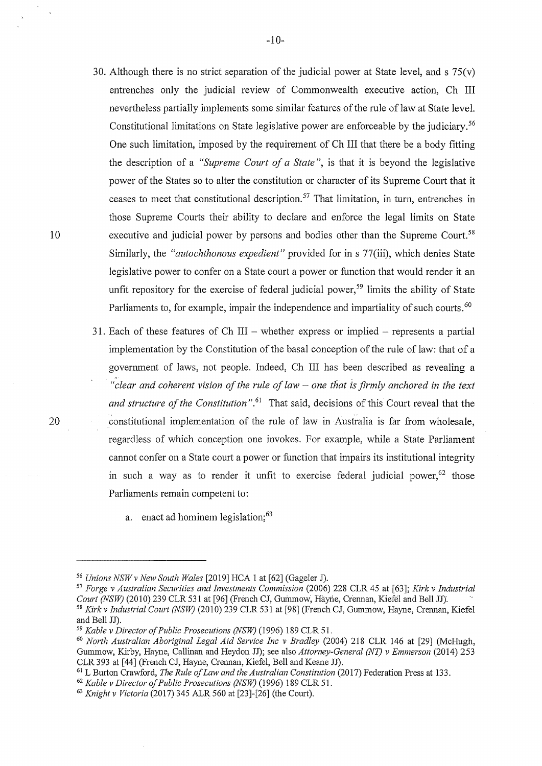- 30. Although there is no strict separation of the judicial power at State level, and s  $75(v)$ entrenches only the judicial review of Commonwealth executive action, Ch III nevertheless partially implements some similar features of the rule of law at State level. Constitutional limitations on State legislative power are enforceable by the judiciary.<sup>56</sup> One such limitation, imposed by the requirement of Ch III that there be a body fitting the description of a *"Supreme Court of a State",* is that it is beyond the legislative power of the States so to alter the constitution or character of its Supreme Court that it ceases to meet that constitutional description. 57 That limitation, in turn, entrenches in those Supreme Courts their ability to declare and enforce the legal limits on State executive and judicial power by persons and bodies other than the Supreme Court.<sup>58</sup> Similarly, the *"autochthonous expedient"* provided for in s 77(iii), which denies State legislative power to confer on a State court a power or function that would render it an unfit repository for the exercise of federal judicial power,<sup>59</sup> limits the ability of State Parliaments to, for example, impair the independence and impartiality of such courts.<sup>60</sup>
- 31. Each of these features of Ch III whether express or implied represents a partial implementation by the Constitution of the basal conception of the rule of law: that of a government of laws, not people. Indeed, Ch III has been described as revealing a <sup>"</sup>*clear and coherent vision of the rule of law – one that is firmly anchored in the text and structure of the Constitution*".<sup>61</sup> That said, decisions of this Court reveal that the constitutional implementation of the rule of law in Australia is far from wholesale, regardless of which conception one invokes. For example, while a State Parliament cannot confer on a State comt a power or function that impairs its institutional integrity in such a way as to render it unfit to exercise federal judicial power,  $62$  those Parliaments remain competent to:
	- a. enact ad hominem legislation;<sup>63</sup>

10

<sup>56</sup>*Unions NSWv New South Wales* [2019] HCA 1 at [62] (Gageler J).

<sup>57</sup>*Forge v Australian Securities and Investments Commission* (2006) 228 CLR 45 at [63]; *Kirk v Industrial Court (NSW)* (2010).239 CLR 531 at [96] (French CJ, Gummow, Hayne, Crennan, Kiefel and Bell JJ).<br><sup>58</sup> *Kirk v Industrial Court (NSW)* (2010) 239 CLR 531 at [98] (French CJ, Gummow, Hayne, Crennan, Kiefel and Bell JJ).

<sup>&</sup>lt;sup>59</sup> *Kable v Director of Public Prosecutions (NSW)* (1996) 189 CLR 51.<br><sup>60</sup> *North Australian Aboriginal Legal Aid Service Inc v Bradley (2004) 218 CLR 146 at [29] (McHugh,* Gummow, Kirby, Hayne, Callinan and Heydon JJ); see also Attorney-General (NT) v Emmerson (2014) 253 CLR 393 at [44] (French CJ, Hayne, Crennan, Kiefel, Bell and Keane JJ).

<sup>&</sup>lt;sup>61</sup> L Burton Crawford, *The Rule of Law and the Australian Constitution* (2017) Federation Press at 133.<br><sup>62</sup> *Kable v Director of Public Prosecutions (NSW)* (1996) 189 CLR 51.<br><sup>63</sup> *Knight v Victoria* (2017) 345 ALR 560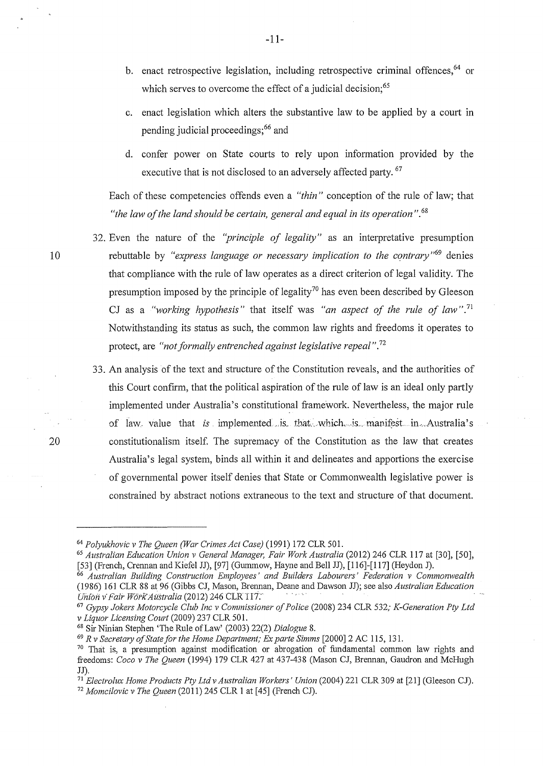- b. enact retrospective legislation, including retrospective criminal offences, <sup>64</sup> or which serves to overcome the effect of a judicial decision;  $65$
- c. enact legislation which alters the substantive law to be applied by a court in pending judicial proceedings;<sup>66</sup> and
- d. confer power on State courts to rely upon information provided by the executive that is not disclosed to an adversely affected party. <sup>67</sup>

Each of these competencies offends even a *"thin"* conception of the rule of law; that *"the law of the land should be certain, general and equal in its operation* ".<sup>68</sup>

- 32. Even the nature of the *"principle of legality"* as an interpretative presumption rebuttable by *"express language or necessary implication to the contrary"69* denies that compliance with the rule of law operates as a direct criterion of legal validity. The presumption imposed by the principle of legality<sup>70</sup> has even been described by Gleeson CJ as a *"working hypothesis"* that itself was *"an aspect of the rule of law".* <sup>71</sup> Notwithstanding its status as such, the common law rights and freedoms it operates to protect, are *"not formally entrenched against legislative repeal".* <sup>72</sup>
- 33. An analysis of the text and structure of the Constitution reveals, and the authorities of this Court confirm, that the political aspiration of the rule of law is an ideal only partly implemented under Australia's constitutional framework. Nevertheless, the major rule of law. value that *is* implemented is that which is manifest in Australia's constitutionalism itself. The supremacy of the Constitution as the law that creates Australia's legal system, binds all within it and delineates and apportions the exercise of governmental power itself denies that State or Commonwealth legislative power is constrained by abstract notions extraneous to the text and structure of that document.

IO

<sup>&</sup>lt;sup>64</sup> Polyukhovic v The Queen (War Crimes Act Case) (1991) 172 CLR 501.<br><sup>65</sup> Australian Education Union v General Manager, Fair Work Australia (2012) 246 CLR 117 at [30], [50], [50], [50],<br>[53] (French, Crennan and Kiefel J

<sup>[53] (</sup>French, Crennan and Kiefel JJ), [97] (Gummow, Hayne and Bell JJ), [116]-[l 17] (Reydon J). 66 *Australian Building Construction Employees' and Builders Labourers' Federation v Commonwealth*  (1986) 161 CLR 88 at 96 (Gibbs CJ, Mason, Brennan, Deane and Dawson JJ); see also *Australian Education* 

<sup>&</sup>lt;sup>67</sup> *Gypsy Jokers Motorcycle Club Inc v Commissioner of Police* (2008) 234 CLR 532; *K-Generation Pty Ltd v Liquor Licensing Court* (2009) 237 CLR 501.

<sup>&</sup>lt;sup>68</sup> Sir Ninian Stephen 'The Rule of Law' (2003) 22(2) *Dialogue 8*.<br><sup>69</sup> R v Secretary of State for the Home Department; Ex parte Simms [2000] 2 AC 115, 131.<br><sup>70</sup> That is, a presumption against modification or abrogation freedoms: *Coco v The Queen* (1994) 179 CLR 427 at 437-438 (Mason CJ, Brennan, Gaudron and McHugh JJ).

<sup>&</sup>lt;sup>71</sup> *Electrolux Home Products Pty Ltd v Australian Workers' Union* (2004) 221 CLR 309 at [21] (Gleeson CJ).

<sup>&</sup>lt;sup>72</sup> Momcilovic v The Queen (2011) 245 CLR 1 at [45] (French CJ).